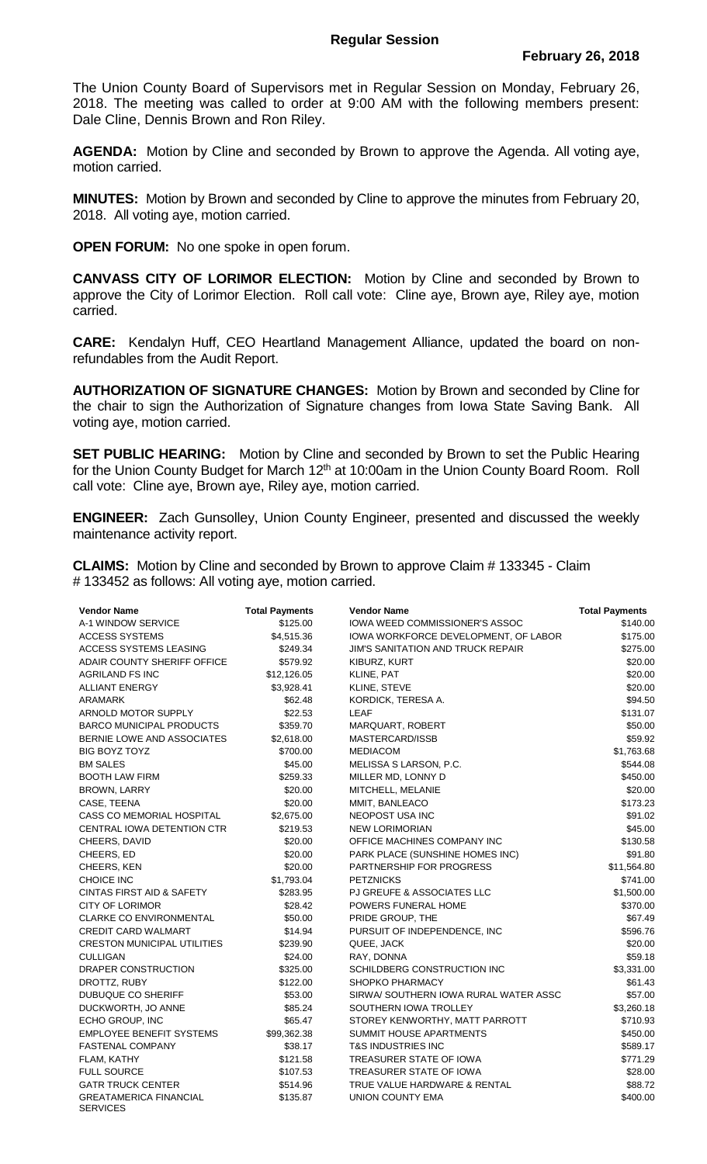## **Regular Session**

The Union County Board of Supervisors met in Regular Session on Monday, February 26, 2018. The meeting was called to order at 9:00 AM with the following members present: Dale Cline, Dennis Brown and Ron Riley.

**AGENDA:** Motion by Cline and seconded by Brown to approve the Agenda. All voting aye, motion carried.

**MINUTES:** Motion by Brown and seconded by Cline to approve the minutes from February 20, 2018. All voting aye, motion carried.

**OPEN FORUM:** No one spoke in open forum.

**CANVASS CITY OF LORIMOR ELECTION:** Motion by Cline and seconded by Brown to approve the City of Lorimor Election. Roll call vote: Cline aye, Brown aye, Riley aye, motion carried.

**CARE:** Kendalyn Huff, CEO Heartland Management Alliance, updated the board on nonrefundables from the Audit Report.

**AUTHORIZATION OF SIGNATURE CHANGES:** Motion by Brown and seconded by Cline for the chair to sign the Authorization of Signature changes from Iowa State Saving Bank. All voting aye, motion carried.

**SET PUBLIC HEARING:** Motion by Cline and seconded by Brown to set the Public Hearing for the Union County Budget for March 12<sup>th</sup> at 10:00am in the Union County Board Room. Roll call vote: Cline aye, Brown aye, Riley aye, motion carried.

**ENGINEER:** Zach Gunsolley, Union County Engineer, presented and discussed the weekly maintenance activity report.

**CLAIMS:** Motion by Cline and seconded by Brown to approve Claim # 133345 - Claim # 133452 as follows: All voting aye, motion carried.

| <b>Vendor Name</b>                               | <b>Total Payments</b> | <b>Vendor Name</b>                    | <b>Total Payments</b> |
|--------------------------------------------------|-----------------------|---------------------------------------|-----------------------|
| A-1 WINDOW SERVICE                               | \$125.00              | IOWA WEED COMMISSIONER'S ASSOC        | \$140.00              |
| <b>ACCESS SYSTEMS</b>                            | \$4,515.36            | IOWA WORKFORCE DEVELOPMENT, OF LABOR  | \$175.00              |
| ACCESS SYSTEMS LEASING                           | \$249.34              | JIM'S SANITATION AND TRUCK REPAIR     | \$275.00              |
| ADAIR COUNTY SHERIFF OFFICE                      | \$579.92              | KIBURZ, KURT                          | \$20.00               |
| AGRILAND FS INC                                  | \$12,126.05           | KLINE, PAT                            | \$20.00               |
| <b>ALLIANT ENERGY</b>                            | \$3,928.41            | KLINE, STEVE                          | \$20.00               |
| ARAMARK                                          | \$62.48               | KORDICK, TERESA A.                    | \$94.50               |
| ARNOLD MOTOR SUPPLY                              | \$22.53               | LEAF                                  | \$131.07              |
| <b>BARCO MUNICIPAL PRODUCTS</b>                  | \$359.70              | MARQUART, ROBERT                      | \$50.00               |
| BERNIE LOWE AND ASSOCIATES                       | \$2,618.00            | MASTERCARD/ISSB                       | \$59.92               |
| BIG BOYZ TOYZ                                    | \$700.00              | <b>MEDIACOM</b>                       | \$1,763.68            |
| <b>BM SALES</b>                                  | \$45.00               | MELISSA S LARSON, P.C.                | \$544.08              |
| <b>BOOTH LAW FIRM</b>                            | \$259.33              | MILLER MD, LONNY D                    | \$450.00              |
| BROWN, LARRY                                     | \$20.00               | MITCHELL, MELANIE                     | \$20.00               |
| CASE, TEENA                                      | \$20.00               | MMIT, BANLEACO                        | \$173.23              |
| CASS CO MEMORIAL HOSPITAL                        | \$2,675.00            | NEOPOST USA INC                       | \$91.02               |
| CENTRAL IOWA DETENTION CTR                       | \$219.53              | <b>NEW LORIMORIAN</b>                 | \$45.00               |
| CHEERS, DAVID                                    | \$20.00               | OFFICE MACHINES COMPANY INC           | \$130.58              |
| CHEERS, ED                                       | \$20.00               | PARK PLACE (SUNSHINE HOMES INC)       | \$91.80               |
| CHEERS, KEN                                      | \$20.00               | <b>PARTNERSHIP FOR PROGRESS</b>       | \$11,564.80           |
| <b>CHOICE INC</b>                                | \$1,793.04            | <b>PETZNICKS</b>                      | \$741.00              |
| <b>CINTAS FIRST AID &amp; SAFETY</b>             | \$283.95              | PJ GREUFE & ASSOCIATES LLC            | \$1,500.00            |
| <b>CITY OF LORIMOR</b>                           | \$28.42               | POWERS FUNERAL HOME                   | \$370.00              |
| <b>CLARKE CO ENVIRONMENTAL</b>                   | \$50.00               | PRIDE GROUP, THE                      | \$67.49               |
| <b>CREDIT CARD WALMART</b>                       | \$14.94               | PURSUIT OF INDEPENDENCE, INC          | \$596.76              |
| <b>CRESTON MUNICIPAL UTILITIES</b>               | \$239.90              | QUEE, JACK                            | \$20.00               |
| <b>CULLIGAN</b>                                  | \$24.00               | RAY, DONNA                            | \$59.18               |
| DRAPER CONSTRUCTION                              | \$325.00              | SCHILDBERG CONSTRUCTION INC           | \$3,331.00            |
| DROTTZ, RUBY                                     | \$122.00              | SHOPKO PHARMACY                       | \$61.43               |
| <b>DUBUQUE CO SHERIFF</b>                        | \$53.00               | SIRWA/ SOUTHERN IOWA RURAL WATER ASSC | \$57.00               |
| DUCKWORTH, JO ANNE                               | \$85.24               | SOUTHERN IOWA TROLLEY                 | \$3,260.18            |
| ECHO GROUP, INC                                  | \$65.47               | STOREY KENWORTHY, MATT PARROTT        | \$710.93              |
| <b>EMPLOYEE BENEFIT SYSTEMS</b>                  | \$99,362.38           | SUMMIT HOUSE APARTMENTS               | \$450.00              |
| <b>FASTENAL COMPANY</b>                          | \$38.17               | T&S INDUSTRIES INC                    | \$589.17              |
| FLAM, KATHY                                      | \$121.58              | TREASURER STATE OF IOWA               | \$771.29              |
| <b>FULL SOURCE</b>                               | \$107.53              | TREASURER STATE OF IOWA               | \$28.00               |
| <b>GATR TRUCK CENTER</b>                         | \$514.96              | TRUE VALUE HARDWARE & RENTAL          | \$88.72               |
| <b>GREATAMERICA FINANCIAL</b><br><b>SERVICES</b> | \$135.87              | UNION COUNTY EMA                      | \$400.00              |